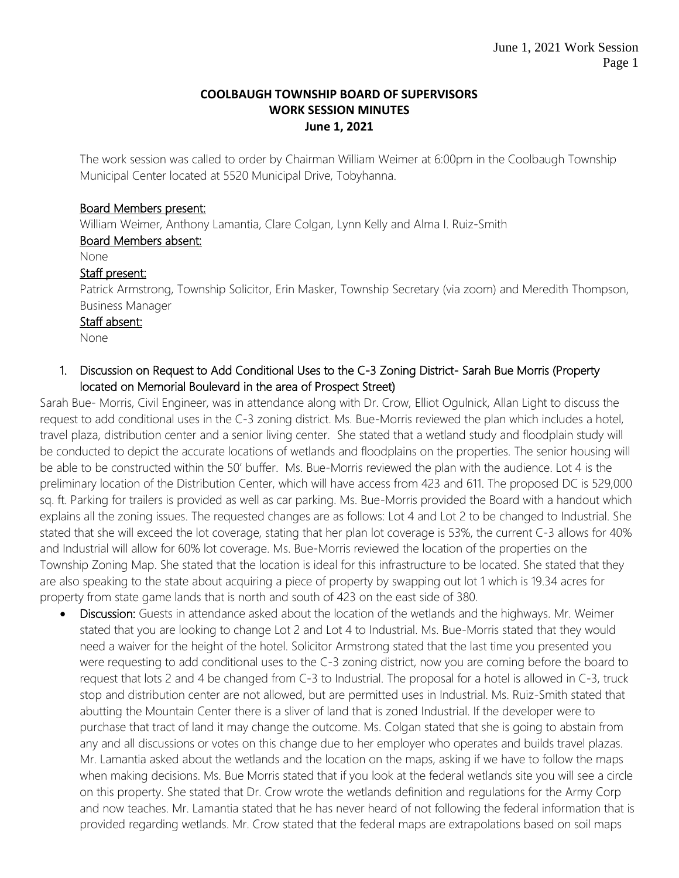#### **COOLBAUGH TOWNSHIP BOARD OF SUPERVISORS WORK SESSION MINUTES June 1, 2021**

The work session was called to order by Chairman William Weimer at 6:00pm in the Coolbaugh Township Municipal Center located at 5520 Municipal Drive, Tobyhanna.

## Board Members present:

William Weimer, Anthony Lamantia, Clare Colgan, Lynn Kelly and Alma I. Ruiz-Smith

## Board Members absent:

None

## Staff present:

Patrick Armstrong, Township Solicitor, Erin Masker, Township Secretary (via zoom) and Meredith Thompson, Business Manager

#### Staff absent:

None

## 1. Discussion on Request to Add Conditional Uses to the C-3 Zoning District- Sarah Bue Morris (Property located on Memorial Boulevard in the area of Prospect Street)

Sarah Bue- Morris, Civil Engineer, was in attendance along with Dr. Crow, Elliot Ogulnick, Allan Light to discuss the request to add conditional uses in the C-3 zoning district. Ms. Bue-Morris reviewed the plan which includes a hotel, travel plaza, distribution center and a senior living center. She stated that a wetland study and floodplain study will be conducted to depict the accurate locations of wetlands and floodplains on the properties. The senior housing will be able to be constructed within the 50' buffer. Ms. Bue-Morris reviewed the plan with the audience. Lot 4 is the preliminary location of the Distribution Center, which will have access from 423 and 611. The proposed DC is 529,000 sq. ft. Parking for trailers is provided as well as car parking. Ms. Bue-Morris provided the Board with a handout which explains all the zoning issues. The requested changes are as follows: Lot 4 and Lot 2 to be changed to Industrial. She stated that she will exceed the lot coverage, stating that her plan lot coverage is 53%, the current C-3 allows for 40% and Industrial will allow for 60% lot coverage. Ms. Bue-Morris reviewed the location of the properties on the Township Zoning Map. She stated that the location is ideal for this infrastructure to be located. She stated that they are also speaking to the state about acquiring a piece of property by swapping out lot 1 which is 19.34 acres for property from state game lands that is north and south of 423 on the east side of 380.

 Discussion: Guests in attendance asked about the location of the wetlands and the highways. Mr. Weimer stated that you are looking to change Lot 2 and Lot 4 to Industrial. Ms. Bue-Morris stated that they would need a waiver for the height of the hotel. Solicitor Armstrong stated that the last time you presented you were requesting to add conditional uses to the C-3 zoning district, now you are coming before the board to request that lots 2 and 4 be changed from C-3 to Industrial. The proposal for a hotel is allowed in C-3, truck stop and distribution center are not allowed, but are permitted uses in Industrial. Ms. Ruiz-Smith stated that abutting the Mountain Center there is a sliver of land that is zoned Industrial. If the developer were to purchase that tract of land it may change the outcome. Ms. Colgan stated that she is going to abstain from any and all discussions or votes on this change due to her employer who operates and builds travel plazas. Mr. Lamantia asked about the wetlands and the location on the maps, asking if we have to follow the maps when making decisions. Ms. Bue Morris stated that if you look at the federal wetlands site you will see a circle on this property. She stated that Dr. Crow wrote the wetlands definition and regulations for the Army Corp and now teaches. Mr. Lamantia stated that he has never heard of not following the federal information that is provided regarding wetlands. Mr. Crow stated that the federal maps are extrapolations based on soil maps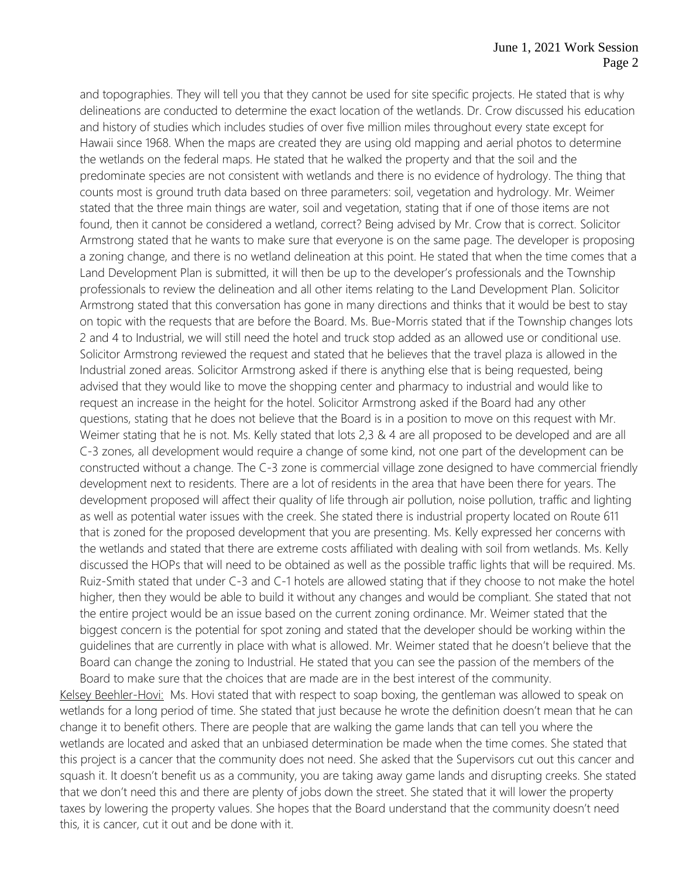and topographies. They will tell you that they cannot be used for site specific projects. He stated that is why delineations are conducted to determine the exact location of the wetlands. Dr. Crow discussed his education and history of studies which includes studies of over five million miles throughout every state except for Hawaii since 1968. When the maps are created they are using old mapping and aerial photos to determine the wetlands on the federal maps. He stated that he walked the property and that the soil and the predominate species are not consistent with wetlands and there is no evidence of hydrology. The thing that counts most is ground truth data based on three parameters: soil, vegetation and hydrology. Mr. Weimer stated that the three main things are water, soil and vegetation, stating that if one of those items are not found, then it cannot be considered a wetland, correct? Being advised by Mr. Crow that is correct. Solicitor Armstrong stated that he wants to make sure that everyone is on the same page. The developer is proposing a zoning change, and there is no wetland delineation at this point. He stated that when the time comes that a Land Development Plan is submitted, it will then be up to the developer's professionals and the Township professionals to review the delineation and all other items relating to the Land Development Plan. Solicitor Armstrong stated that this conversation has gone in many directions and thinks that it would be best to stay on topic with the requests that are before the Board. Ms. Bue-Morris stated that if the Township changes lots 2 and 4 to Industrial, we will still need the hotel and truck stop added as an allowed use or conditional use. Solicitor Armstrong reviewed the request and stated that he believes that the travel plaza is allowed in the Industrial zoned areas. Solicitor Armstrong asked if there is anything else that is being requested, being advised that they would like to move the shopping center and pharmacy to industrial and would like to request an increase in the height for the hotel. Solicitor Armstrong asked if the Board had any other questions, stating that he does not believe that the Board is in a position to move on this request with Mr. Weimer stating that he is not. Ms. Kelly stated that lots 2,3 & 4 are all proposed to be developed and are all C-3 zones, all development would require a change of some kind, not one part of the development can be constructed without a change. The C-3 zone is commercial village zone designed to have commercial friendly development next to residents. There are a lot of residents in the area that have been there for years. The development proposed will affect their quality of life through air pollution, noise pollution, traffic and lighting as well as potential water issues with the creek. She stated there is industrial property located on Route 611 that is zoned for the proposed development that you are presenting. Ms. Kelly expressed her concerns with the wetlands and stated that there are extreme costs affiliated with dealing with soil from wetlands. Ms. Kelly discussed the HOPs that will need to be obtained as well as the possible traffic lights that will be required. Ms. Ruiz-Smith stated that under C-3 and C-1 hotels are allowed stating that if they choose to not make the hotel higher, then they would be able to build it without any changes and would be compliant. She stated that not the entire project would be an issue based on the current zoning ordinance. Mr. Weimer stated that the biggest concern is the potential for spot zoning and stated that the developer should be working within the guidelines that are currently in place with what is allowed. Mr. Weimer stated that he doesn't believe that the Board can change the zoning to Industrial. He stated that you can see the passion of the members of the Board to make sure that the choices that are made are in the best interest of the community.

Kelsey Beehler-Hovi: Ms. Hovi stated that with respect to soap boxing, the gentleman was allowed to speak on wetlands for a long period of time. She stated that just because he wrote the definition doesn't mean that he can change it to benefit others. There are people that are walking the game lands that can tell you where the wetlands are located and asked that an unbiased determination be made when the time comes. She stated that this project is a cancer that the community does not need. She asked that the Supervisors cut out this cancer and squash it. It doesn't benefit us as a community, you are taking away game lands and disrupting creeks. She stated that we don't need this and there are plenty of jobs down the street. She stated that it will lower the property taxes by lowering the property values. She hopes that the Board understand that the community doesn't need this, it is cancer, cut it out and be done with it.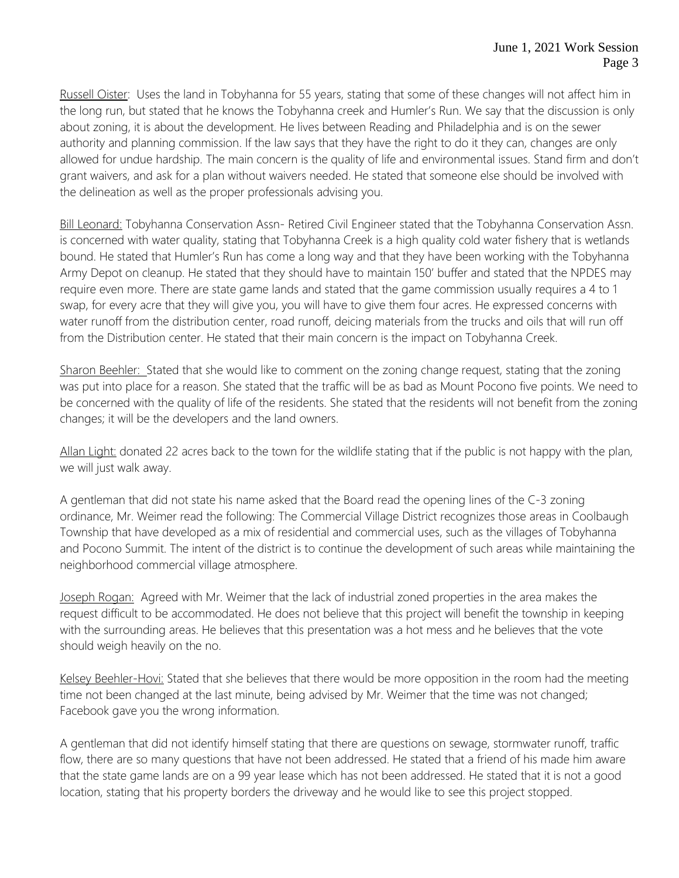Russell Oister: Uses the land in Tobyhanna for 55 years, stating that some of these changes will not affect him in the long run, but stated that he knows the Tobyhanna creek and Humler's Run. We say that the discussion is only about zoning, it is about the development. He lives between Reading and Philadelphia and is on the sewer authority and planning commission. If the law says that they have the right to do it they can, changes are only allowed for undue hardship. The main concern is the quality of life and environmental issues. Stand firm and don't grant waivers, and ask for a plan without waivers needed. He stated that someone else should be involved with the delineation as well as the proper professionals advising you.

Bill Leonard: Tobyhanna Conservation Assn- Retired Civil Engineer stated that the Tobyhanna Conservation Assn. is concerned with water quality, stating that Tobyhanna Creek is a high quality cold water fishery that is wetlands bound. He stated that Humler's Run has come a long way and that they have been working with the Tobyhanna Army Depot on cleanup. He stated that they should have to maintain 150' buffer and stated that the NPDES may require even more. There are state game lands and stated that the game commission usually requires a 4 to 1 swap, for every acre that they will give you, you will have to give them four acres. He expressed concerns with water runoff from the distribution center, road runoff, deicing materials from the trucks and oils that will run off from the Distribution center. He stated that their main concern is the impact on Tobyhanna Creek.

Sharon Beehler: Stated that she would like to comment on the zoning change request, stating that the zoning was put into place for a reason. She stated that the traffic will be as bad as Mount Pocono five points. We need to be concerned with the quality of life of the residents. She stated that the residents will not benefit from the zoning changes; it will be the developers and the land owners.

Allan Light: donated 22 acres back to the town for the wildlife stating that if the public is not happy with the plan, we will just walk away.

A gentleman that did not state his name asked that the Board read the opening lines of the C-3 zoning ordinance, Mr. Weimer read the following: The Commercial Village District recognizes those areas in Coolbaugh Township that have developed as a mix of residential and commercial uses, such as the villages of Tobyhanna and Pocono Summit. The intent of the district is to continue the development of such areas while maintaining the neighborhood commercial village atmosphere.

Joseph Rogan: Agreed with Mr. Weimer that the lack of industrial zoned properties in the area makes the request difficult to be accommodated. He does not believe that this project will benefit the township in keeping with the surrounding areas. He believes that this presentation was a hot mess and he believes that the vote should weigh heavily on the no.

Kelsey Beehler-Hovi: Stated that she believes that there would be more opposition in the room had the meeting time not been changed at the last minute, being advised by Mr. Weimer that the time was not changed; Facebook gave you the wrong information.

A gentleman that did not identify himself stating that there are questions on sewage, stormwater runoff, traffic flow, there are so many questions that have not been addressed. He stated that a friend of his made him aware that the state game lands are on a 99 year lease which has not been addressed. He stated that it is not a good location, stating that his property borders the driveway and he would like to see this project stopped.